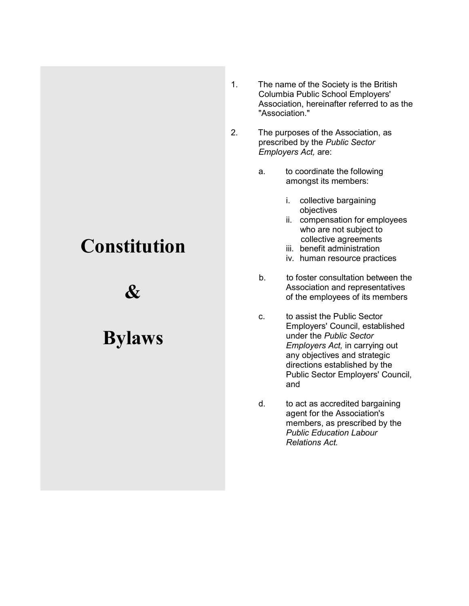# **Constitution**

&

# Bylaws

- 1. The name of the Society is the British Columbia Public School Employers' Association, hereinafter referred to as the "Association."
- 2. The purposes of the Association, as prescribed by the Public Sector Employers Act, are:
	- a. to coordinate the following amongst its members:
		- i. collective bargaining objectives
		- ii. compensation for employees who are not subject to collective agreements
		- iii. benefit administration
		- iv. human resource practices
	- b. to foster consultation between the Association and representatives of the employees of its members
	- c. to assist the Public Sector Employers' Council, established under the Public Sector Employers Act, in carrying out any objectives and strategic directions established by the Public Sector Employers' Council, and
	- d. to act as accredited bargaining agent for the Association's members, as prescribed by the Public Education Labour Relations Act.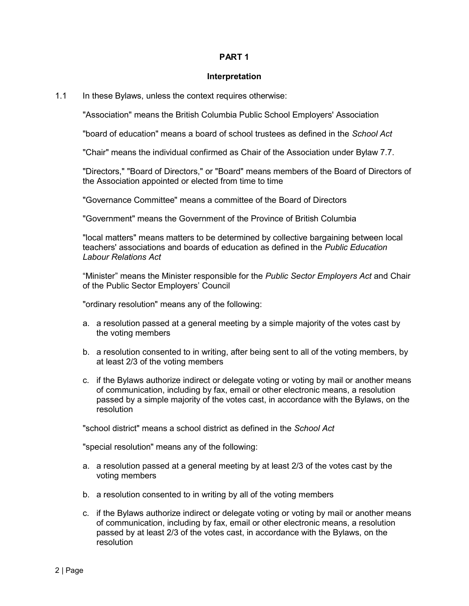#### Interpretation

1.1 In these Bylaws, unless the context requires otherwise:

"Association" means the British Columbia Public School Employers' Association

"board of education" means a board of school trustees as defined in the School Act

"Chair" means the individual confirmed as Chair of the Association under Bylaw 7.7.

"Directors," "Board of Directors," or "Board" means members of the Board of Directors of the Association appointed or elected from time to time

"Governance Committee" means a committee of the Board of Directors

"Government" means the Government of the Province of British Columbia

"local matters" means matters to be determined by collective bargaining between local teachers' associations and boards of education as defined in the Public Education Labour Relations Act

"Minister" means the Minister responsible for the Public Sector Employers Act and Chair of the Public Sector Employers' Council

"ordinary resolution" means any of the following:

- a. a resolution passed at a general meeting by a simple majority of the votes cast by the voting members
- b. a resolution consented to in writing, after being sent to all of the voting members, by at least 2/3 of the voting members
- c. if the Bylaws authorize indirect or delegate voting or voting by mail or another means of communication, including by fax, email or other electronic means, a resolution passed by a simple majority of the votes cast, in accordance with the Bylaws, on the resolution

"school district" means a school district as defined in the School Act

"special resolution" means any of the following:

- a. a resolution passed at a general meeting by at least 2/3 of the votes cast by the voting members
- b. a resolution consented to in writing by all of the voting members
- c. if the Bylaws authorize indirect or delegate voting or voting by mail or another means of communication, including by fax, email or other electronic means, a resolution passed by at least 2/3 of the votes cast, in accordance with the Bylaws, on the resolution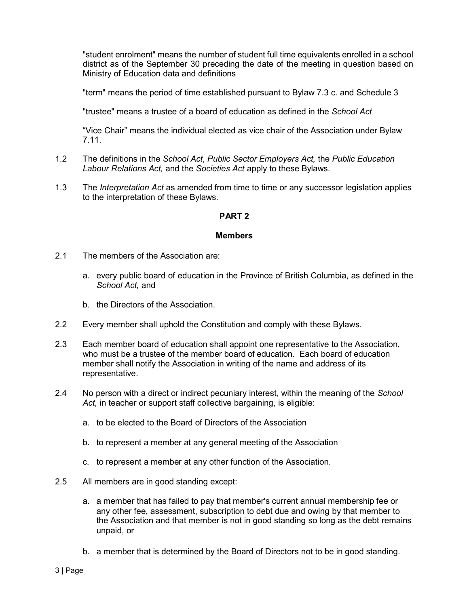"student enrolment" means the number of student full time equivalents enrolled in a school district as of the September 30 preceding the date of the meeting in question based on Ministry of Education data and definitions

"term" means the period of time established pursuant to Bylaw 7.3 c. and Schedule 3

"trustee" means a trustee of a board of education as defined in the School Act

"Vice Chair" means the individual elected as vice chair of the Association under Bylaw 7.11.

- 1.2 The definitions in the School Act, Public Sector Employers Act, the Public Education Labour Relations Act, and the Societies Act apply to these Bylaws.
- 1.3 The *Interpretation Act* as amended from time to time or any successor legislation applies to the interpretation of these Bylaws.

# PART 2

### Members

- 2.1 The members of the Association are:
	- a. every public board of education in the Province of British Columbia, as defined in the School Act, and
	- b. the Directors of the Association.
- 2.2 Every member shall uphold the Constitution and comply with these Bylaws.
- 2.3 Each member board of education shall appoint one representative to the Association, who must be a trustee of the member board of education. Each board of education member shall notify the Association in writing of the name and address of its representative.
- 2.4 No person with a direct or indirect pecuniary interest, within the meaning of the School Act, in teacher or support staff collective bargaining, is eligible:
	- a. to be elected to the Board of Directors of the Association
	- b. to represent a member at any general meeting of the Association
	- c. to represent a member at any other function of the Association.
- 2.5 All members are in good standing except:
	- a. a member that has failed to pay that member's current annual membership fee or any other fee, assessment, subscription to debt due and owing by that member to the Association and that member is not in good standing so long as the debt remains unpaid, or
	- b. a member that is determined by the Board of Directors not to be in good standing.

3 | Page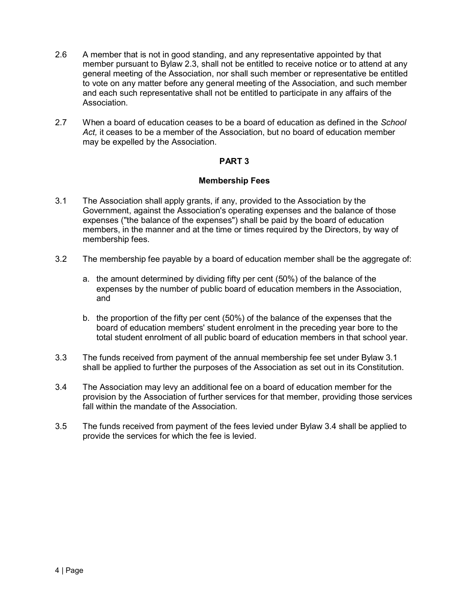- 2.6 A member that is not in good standing, and any representative appointed by that member pursuant to Bylaw 2.3, shall not be entitled to receive notice or to attend at any general meeting of the Association, nor shall such member or representative be entitled to vote on any matter before any general meeting of the Association, and such member and each such representative shall not be entitled to participate in any affairs of the **Association**
- 2.7 When a board of education ceases to be a board of education as defined in the School Act, it ceases to be a member of the Association, but no board of education member may be expelled by the Association.

## Membership Fees

- 3.1 The Association shall apply grants, if any, provided to the Association by the Government, against the Association's operating expenses and the balance of those expenses ("the balance of the expenses") shall be paid by the board of education members, in the manner and at the time or times required by the Directors, by way of membership fees.
- 3.2 The membership fee payable by a board of education member shall be the aggregate of:
	- a. the amount determined by dividing fifty per cent (50%) of the balance of the expenses by the number of public board of education members in the Association, and
	- b. the proportion of the fifty per cent (50%) of the balance of the expenses that the board of education members' student enrolment in the preceding year bore to the total student enrolment of all public board of education members in that school year.
- 3.3 The funds received from payment of the annual membership fee set under Bylaw 3.1 shall be applied to further the purposes of the Association as set out in its Constitution.
- 3.4 The Association may levy an additional fee on a board of education member for the provision by the Association of further services for that member, providing those services fall within the mandate of the Association.
- 3.5 The funds received from payment of the fees levied under Bylaw 3.4 shall be applied to provide the services for which the fee is levied.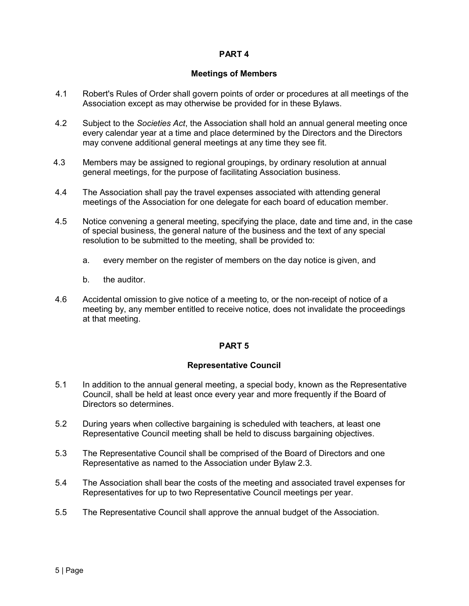# Meetings of Members

- 4.1 Robert's Rules of Order shall govern points of order or procedures at all meetings of the Association except as may otherwise be provided for in these Bylaws.
- 4.2 Subject to the Societies Act, the Association shall hold an annual general meeting once every calendar year at a time and place determined by the Directors and the Directors may convene additional general meetings at any time they see fit.
- 4.3 Members may be assigned to regional groupings, by ordinary resolution at annual general meetings, for the purpose of facilitating Association business.
- 4.4 The Association shall pay the travel expenses associated with attending general meetings of the Association for one delegate for each board of education member.
- 4.5 Notice convening a general meeting, specifying the place, date and time and, in the case of special business, the general nature of the business and the text of any special resolution to be submitted to the meeting, shall be provided to:
	- a. every member on the register of members on the day notice is given, and
	- b. the auditor.
- 4.6 Accidental omission to give notice of a meeting to, or the non-receipt of notice of a meeting by, any member entitled to receive notice, does not invalidate the proceedings at that meeting.

# PART 5

# Representative Council

- 5.1 In addition to the annual general meeting, a special body, known as the Representative Council, shall be held at least once every year and more frequently if the Board of Directors so determines.
- 5.2 During years when collective bargaining is scheduled with teachers, at least one Representative Council meeting shall be held to discuss bargaining objectives.
- 5.3 The Representative Council shall be comprised of the Board of Directors and one Representative as named to the Association under Bylaw 2.3.
- 5.4 The Association shall bear the costs of the meeting and associated travel expenses for Representatives for up to two Representative Council meetings per year.
- 5.5 The Representative Council shall approve the annual budget of the Association.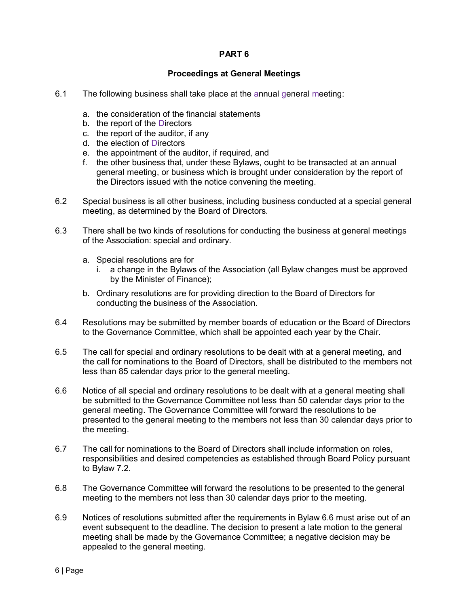# Proceedings at General Meetings

- 6.1 The following business shall take place at the annual general meeting:
	- a. the consideration of the financial statements
	- b. the report of the Directors
	- c. the report of the auditor, if any
	- d. the election of Directors
	- e. the appointment of the auditor, if required, and
	- f. the other business that, under these Bylaws, ought to be transacted at an annual general meeting, or business which is brought under consideration by the report of the Directors issued with the notice convening the meeting.
- 6.2 Special business is all other business, including business conducted at a special general meeting, as determined by the Board of Directors.
- 6.3 There shall be two kinds of resolutions for conducting the business at general meetings of the Association: special and ordinary.
	- a. Special resolutions are for
		- i. a change in the Bylaws of the Association (all Bylaw changes must be approved by the Minister of Finance);
	- b. Ordinary resolutions are for providing direction to the Board of Directors for conducting the business of the Association.
- 6.4 Resolutions may be submitted by member boards of education or the Board of Directors to the Governance Committee, which shall be appointed each year by the Chair.
- 6.5 The call for special and ordinary resolutions to be dealt with at a general meeting, and the call for nominations to the Board of Directors, shall be distributed to the members not less than 85 calendar days prior to the general meeting.
- 6.6 Notice of all special and ordinary resolutions to be dealt with at a general meeting shall be submitted to the Governance Committee not less than 50 calendar days prior to the general meeting. The Governance Committee will forward the resolutions to be presented to the general meeting to the members not less than 30 calendar days prior to the meeting.
- 6.7 The call for nominations to the Board of Directors shall include information on roles, responsibilities and desired competencies as established through Board Policy pursuant to Bylaw 7.2.
- 6.8 The Governance Committee will forward the resolutions to be presented to the general meeting to the members not less than 30 calendar days prior to the meeting.
- 6.9 Notices of resolutions submitted after the requirements in Bylaw 6.6 must arise out of an event subsequent to the deadline. The decision to present a late motion to the general meeting shall be made by the Governance Committee; a negative decision may be appealed to the general meeting.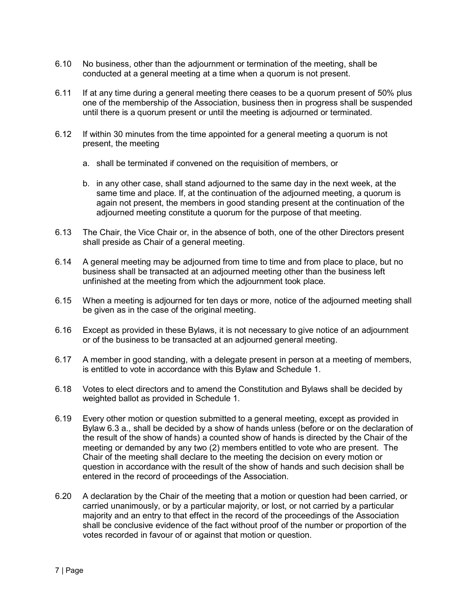- 6.10 No business, other than the adjournment or termination of the meeting, shall be conducted at a general meeting at a time when a quorum is not present.
- 6.11 If at any time during a general meeting there ceases to be a quorum present of 50% plus one of the membership of the Association, business then in progress shall be suspended until there is a quorum present or until the meeting is adjourned or terminated.
- 6.12 If within 30 minutes from the time appointed for a general meeting a quorum is not present, the meeting
	- a. shall be terminated if convened on the requisition of members, or
	- b. in any other case, shall stand adjourned to the same day in the next week, at the same time and place. If, at the continuation of the adjourned meeting, a quorum is again not present, the members in good standing present at the continuation of the adjourned meeting constitute a quorum for the purpose of that meeting.
- 6.13 The Chair, the Vice Chair or, in the absence of both, one of the other Directors present shall preside as Chair of a general meeting.
- 6.14 A general meeting may be adjourned from time to time and from place to place, but no business shall be transacted at an adjourned meeting other than the business left unfinished at the meeting from which the adjournment took place.
- 6.15 When a meeting is adjourned for ten days or more, notice of the adjourned meeting shall be given as in the case of the original meeting.
- 6.16 Except as provided in these Bylaws, it is not necessary to give notice of an adjournment or of the business to be transacted at an adjourned general meeting.
- 6.17 A member in good standing, with a delegate present in person at a meeting of members, is entitled to vote in accordance with this Bylaw and Schedule 1.
- 6.18 Votes to elect directors and to amend the Constitution and Bylaws shall be decided by weighted ballot as provided in Schedule 1.
- 6.19 Every other motion or question submitted to a general meeting, except as provided in Bylaw 6.3 a., shall be decided by a show of hands unless (before or on the declaration of the result of the show of hands) a counted show of hands is directed by the Chair of the meeting or demanded by any two (2) members entitled to vote who are present. The Chair of the meeting shall declare to the meeting the decision on every motion or question in accordance with the result of the show of hands and such decision shall be entered in the record of proceedings of the Association.
- 6.20 A declaration by the Chair of the meeting that a motion or question had been carried, or carried unanimously, or by a particular majority, or lost, or not carried by a particular majority and an entry to that effect in the record of the proceedings of the Association shall be conclusive evidence of the fact without proof of the number or proportion of the votes recorded in favour of or against that motion or question.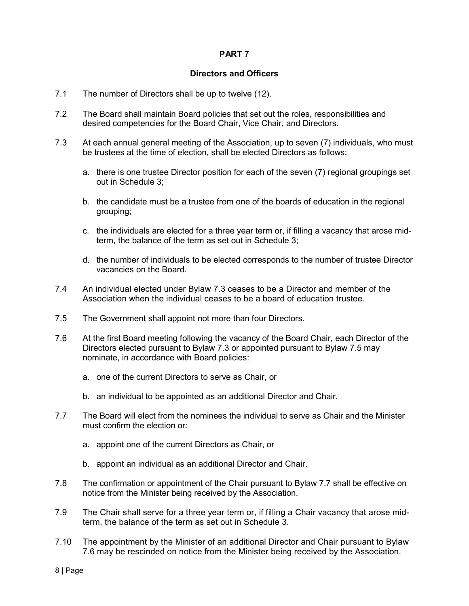# Directors and Officers

- 7.1 The number of Directors shall be up to twelve (12).
- 7.2 The Board shall maintain Board policies that set out the roles, responsibilities and desired competencies for the Board Chair, Vice Chair, and Directors.
- 7.3 At each annual general meeting of the Association, up to seven (7) individuals, who must be trustees at the time of election, shall be elected Directors as follows:
	- a. there is one trustee Director position for each of the seven (7) regional groupings set out in Schedule 3;
	- b. the candidate must be a trustee from one of the boards of education in the regional grouping;
	- c. the individuals are elected for a three year term or, if filling a vacancy that arose midterm, the balance of the term as set out in Schedule 3;
	- d. the number of individuals to be elected corresponds to the number of trustee Director vacancies on the Board.
- 7.4 An individual elected under Bylaw 7.3 ceases to be a Director and member of the Association when the individual ceases to be a board of education trustee.
- 7.5 The Government shall appoint not more than four Directors.
- 7.6 At the first Board meeting following the vacancy of the Board Chair, each Director of the Directors elected pursuant to Bylaw 7.3 or appointed pursuant to Bylaw 7.5 may nominate, in accordance with Board policies:
	- a. one of the current Directors to serve as Chair, or
	- b. an individual to be appointed as an additional Director and Chair.
- 7.7 The Board will elect from the nominees the individual to serve as Chair and the Minister must confirm the election or:
	- a. appoint one of the current Directors as Chair, or
	- b. appoint an individual as an additional Director and Chair.
- 7.8 The confirmation or appointment of the Chair pursuant to Bylaw 7.7 shall be effective on notice from the Minister being received by the Association.
- 7.9 The Chair shall serve for a three year term or, if filling a Chair vacancy that arose midterm, the balance of the term as set out in Schedule 3.
- 7.10 The appointment by the Minister of an additional Director and Chair pursuant to Bylaw 7.6 may be rescinded on notice from the Minister being received by the Association.

8 | Page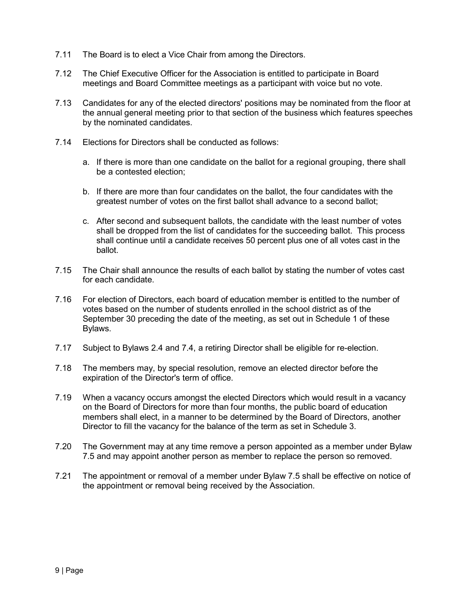- 7.11 The Board is to elect a Vice Chair from among the Directors.
- 7.12 The Chief Executive Officer for the Association is entitled to participate in Board meetings and Board Committee meetings as a participant with voice but no vote.
- 7.13 Candidates for any of the elected directors' positions may be nominated from the floor at the annual general meeting prior to that section of the business which features speeches by the nominated candidates.
- 7.14 Elections for Directors shall be conducted as follows:
	- a. If there is more than one candidate on the ballot for a regional grouping, there shall be a contested election;
	- b. If there are more than four candidates on the ballot, the four candidates with the greatest number of votes on the first ballot shall advance to a second ballot;
	- c. After second and subsequent ballots, the candidate with the least number of votes shall be dropped from the list of candidates for the succeeding ballot. This process shall continue until a candidate receives 50 percent plus one of all votes cast in the ballot.
- 7.15 The Chair shall announce the results of each ballot by stating the number of votes cast for each candidate.
- 7.16 For election of Directors, each board of education member is entitled to the number of votes based on the number of students enrolled in the school district as of the September 30 preceding the date of the meeting, as set out in Schedule 1 of these Bylaws.
- 7.17 Subject to Bylaws 2.4 and 7.4, a retiring Director shall be eligible for re-election.
- 7.18 The members may, by special resolution, remove an elected director before the expiration of the Director's term of office.
- 7.19 When a vacancy occurs amongst the elected Directors which would result in a vacancy on the Board of Directors for more than four months, the public board of education members shall elect, in a manner to be determined by the Board of Directors, another Director to fill the vacancy for the balance of the term as set in Schedule 3.
- 7.20 The Government may at any time remove a person appointed as a member under Bylaw 7.5 and may appoint another person as member to replace the person so removed.
- 7.21 The appointment or removal of a member under Bylaw 7.5 shall be effective on notice of the appointment or removal being received by the Association.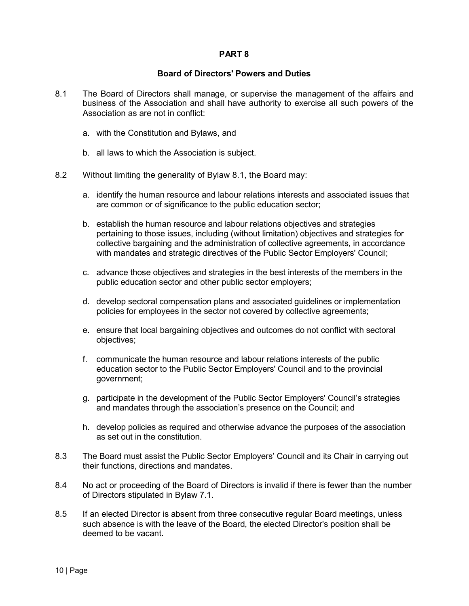## Board of Directors' Powers and Duties

- 8.1 The Board of Directors shall manage, or supervise the management of the affairs and business of the Association and shall have authority to exercise all such powers of the Association as are not in conflict:
	- a. with the Constitution and Bylaws, and
	- b. all laws to which the Association is subject.
- 8.2 Without limiting the generality of Bylaw 8.1, the Board may:
	- a. identify the human resource and labour relations interests and associated issues that are common or of significance to the public education sector;
	- b. establish the human resource and labour relations objectives and strategies pertaining to those issues, including (without limitation) objectives and strategies for collective bargaining and the administration of collective agreements, in accordance with mandates and strategic directives of the Public Sector Employers' Council;
	- c. advance those objectives and strategies in the best interests of the members in the public education sector and other public sector employers;
	- d. develop sectoral compensation plans and associated guidelines or implementation policies for employees in the sector not covered by collective agreements;
	- e. ensure that local bargaining objectives and outcomes do not conflict with sectoral objectives;
	- f. communicate the human resource and labour relations interests of the public education sector to the Public Sector Employers' Council and to the provincial government;
	- g. participate in the development of the Public Sector Employers' Council's strategies and mandates through the association's presence on the Council; and
	- h. develop policies as required and otherwise advance the purposes of the association as set out in the constitution.
- 8.3 The Board must assist the Public Sector Employers' Council and its Chair in carrying out their functions, directions and mandates.
- 8.4 No act or proceeding of the Board of Directors is invalid if there is fewer than the number of Directors stipulated in Bylaw 7.1.
- 8.5 If an elected Director is absent from three consecutive regular Board meetings, unless such absence is with the leave of the Board, the elected Director's position shall be deemed to be vacant.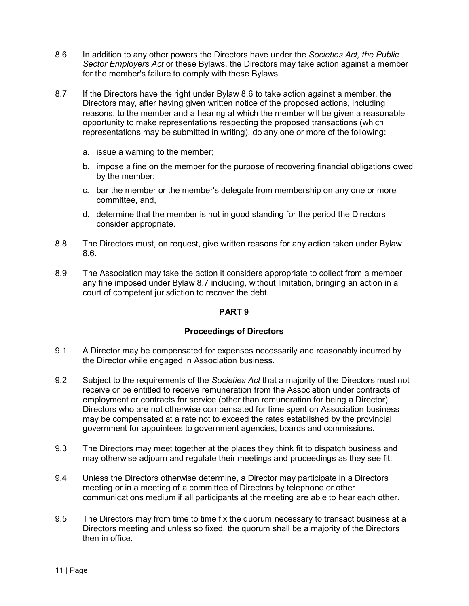- 8.6 In addition to any other powers the Directors have under the Societies Act, the Public Sector Employers Act or these Bylaws, the Directors may take action against a member for the member's failure to comply with these Bylaws.
- 8.7 If the Directors have the right under Bylaw 8.6 to take action against a member, the Directors may, after having given written notice of the proposed actions, including reasons, to the member and a hearing at which the member will be given a reasonable opportunity to make representations respecting the proposed transactions (which representations may be submitted in writing), do any one or more of the following:
	- a. issue a warning to the member;
	- b. impose a fine on the member for the purpose of recovering financial obligations owed by the member;
	- c. bar the member or the member's delegate from membership on any one or more committee, and,
	- d. determine that the member is not in good standing for the period the Directors consider appropriate.
- 8.8 The Directors must, on request, give written reasons for any action taken under Bylaw 8.6.
- 8.9 The Association may take the action it considers appropriate to collect from a member any fine imposed under Bylaw 8.7 including, without limitation, bringing an action in a court of competent jurisdiction to recover the debt.

# Proceedings of Directors

- 9.1 A Director may be compensated for expenses necessarily and reasonably incurred by the Director while engaged in Association business.
- 9.2 Subject to the requirements of the Societies Act that a majority of the Directors must not receive or be entitled to receive remuneration from the Association under contracts of employment or contracts for service (other than remuneration for being a Director), Directors who are not otherwise compensated for time spent on Association business may be compensated at a rate not to exceed the rates established by the provincial government for appointees to government agencies, boards and commissions.
- 9.3 The Directors may meet together at the places they think fit to dispatch business and may otherwise adjourn and regulate their meetings and proceedings as they see fit.
- 9.4 Unless the Directors otherwise determine, a Director may participate in a Directors meeting or in a meeting of a committee of Directors by telephone or other communications medium if all participants at the meeting are able to hear each other.
- 9.5 The Directors may from time to time fix the quorum necessary to transact business at a Directors meeting and unless so fixed, the quorum shall be a majority of the Directors then in office.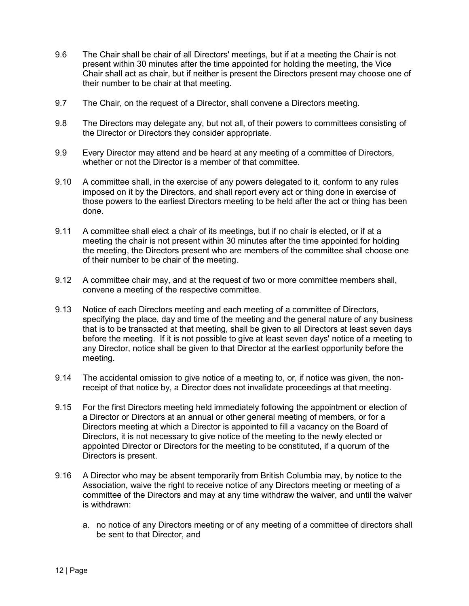- 9.6 The Chair shall be chair of all Directors' meetings, but if at a meeting the Chair is not present within 30 minutes after the time appointed for holding the meeting, the Vice Chair shall act as chair, but if neither is present the Directors present may choose one of their number to be chair at that meeting.
- 9.7 The Chair, on the request of a Director, shall convene a Directors meeting.
- 9.8 The Directors may delegate any, but not all, of their powers to committees consisting of the Director or Directors they consider appropriate.
- 9.9 Every Director may attend and be heard at any meeting of a committee of Directors, whether or not the Director is a member of that committee.
- 9.10 A committee shall, in the exercise of any powers delegated to it, conform to any rules imposed on it by the Directors, and shall report every act or thing done in exercise of those powers to the earliest Directors meeting to be held after the act or thing has been done.
- 9.11 A committee shall elect a chair of its meetings, but if no chair is elected, or if at a meeting the chair is not present within 30 minutes after the time appointed for holding the meeting, the Directors present who are members of the committee shall choose one of their number to be chair of the meeting.
- 9.12 A committee chair may, and at the request of two or more committee members shall, convene a meeting of the respective committee.
- 9.13 Notice of each Directors meeting and each meeting of a committee of Directors, specifying the place, day and time of the meeting and the general nature of any business that is to be transacted at that meeting, shall be given to all Directors at least seven days before the meeting. If it is not possible to give at least seven days' notice of a meeting to any Director, notice shall be given to that Director at the earliest opportunity before the meeting.
- 9.14 The accidental omission to give notice of a meeting to, or, if notice was given, the nonreceipt of that notice by, a Director does not invalidate proceedings at that meeting.
- 9.15 For the first Directors meeting held immediately following the appointment or election of a Director or Directors at an annual or other general meeting of members, or for a Directors meeting at which a Director is appointed to fill a vacancy on the Board of Directors, it is not necessary to give notice of the meeting to the newly elected or appointed Director or Directors for the meeting to be constituted, if a quorum of the Directors is present.
- 9.16 A Director who may be absent temporarily from British Columbia may, by notice to the Association, waive the right to receive notice of any Directors meeting or meeting of a committee of the Directors and may at any time withdraw the waiver, and until the waiver is withdrawn:
	- a. no notice of any Directors meeting or of any meeting of a committee of directors shall be sent to that Director, and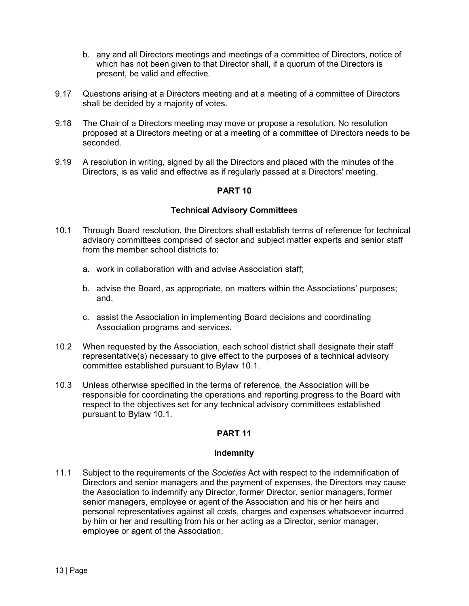- b. any and all Directors meetings and meetings of a committee of Directors, notice of which has not been given to that Director shall, if a quorum of the Directors is present, be valid and effective.
- 9.17 Questions arising at a Directors meeting and at a meeting of a committee of Directors shall be decided by a majority of votes.
- 9.18 The Chair of a Directors meeting may move or propose a resolution. No resolution proposed at a Directors meeting or at a meeting of a committee of Directors needs to be seconded.
- 9.19 A resolution in writing, signed by all the Directors and placed with the minutes of the Directors, is as valid and effective as if regularly passed at a Directors' meeting.

# Technical Advisory Committees

- 10.1 Through Board resolution, the Directors shall establish terms of reference for technical advisory committees comprised of sector and subject matter experts and senior staff from the member school districts to:
	- a. work in collaboration with and advise Association staff;
	- b. advise the Board, as appropriate, on matters within the Associations' purposes; and,
	- c. assist the Association in implementing Board decisions and coordinating Association programs and services.
- 10.2 When requested by the Association, each school district shall designate their staff representative(s) necessary to give effect to the purposes of a technical advisory committee established pursuant to Bylaw 10.1.
- 10.3 Unless otherwise specified in the terms of reference, the Association will be responsible for coordinating the operations and reporting progress to the Board with respect to the objectives set for any technical advisory committees established pursuant to Bylaw 10.1.

# PART 11

#### Indemnity

11.1 Subject to the requirements of the Societies Act with respect to the indemnification of Directors and senior managers and the payment of expenses, the Directors may cause the Association to indemnify any Director, former Director, senior managers, former senior managers, employee or agent of the Association and his or her heirs and personal representatives against all costs, charges and expenses whatsoever incurred by him or her and resulting from his or her acting as a Director, senior manager, employee or agent of the Association.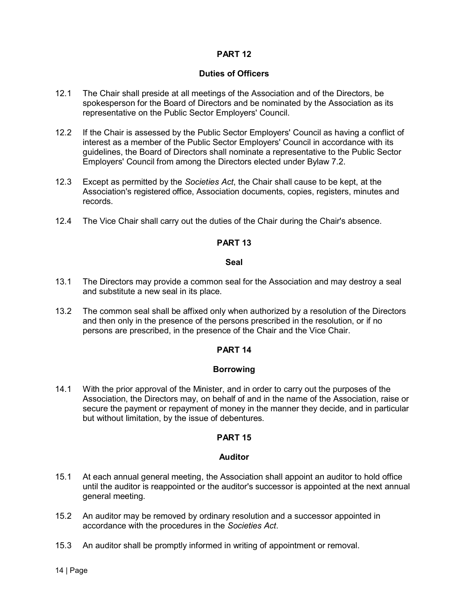# Duties of Officers

- 12.1 The Chair shall preside at all meetings of the Association and of the Directors, be spokesperson for the Board of Directors and be nominated by the Association as its representative on the Public Sector Employers' Council.
- 12.2 If the Chair is assessed by the Public Sector Employers' Council as having a conflict of interest as a member of the Public Sector Employers' Council in accordance with its guidelines, the Board of Directors shall nominate a representative to the Public Sector Employers' Council from among the Directors elected under Bylaw 7.2.
- 12.3 Except as permitted by the Societies Act, the Chair shall cause to be kept, at the Association's registered office, Association documents, copies, registers, minutes and records.
- 12.4 The Vice Chair shall carry out the duties of the Chair during the Chair's absence.

# PART 13

#### Seal

- 13.1 The Directors may provide a common seal for the Association and may destroy a seal and substitute a new seal in its place.
- 13.2 The common seal shall be affixed only when authorized by a resolution of the Directors and then only in the presence of the persons prescribed in the resolution, or if no persons are prescribed, in the presence of the Chair and the Vice Chair.

# PART 14

# Borrowing

14.1 With the prior approval of the Minister, and in order to carry out the purposes of the Association, the Directors may, on behalf of and in the name of the Association, raise or secure the payment or repayment of money in the manner they decide, and in particular but without limitation, by the issue of debentures.

# PART 15

#### Auditor

- 15.1 At each annual general meeting, the Association shall appoint an auditor to hold office until the auditor is reappointed or the auditor's successor is appointed at the next annual general meeting.
- 15.2 An auditor may be removed by ordinary resolution and a successor appointed in accordance with the procedures in the Societies Act.
- 15.3 An auditor shall be promptly informed in writing of appointment or removal.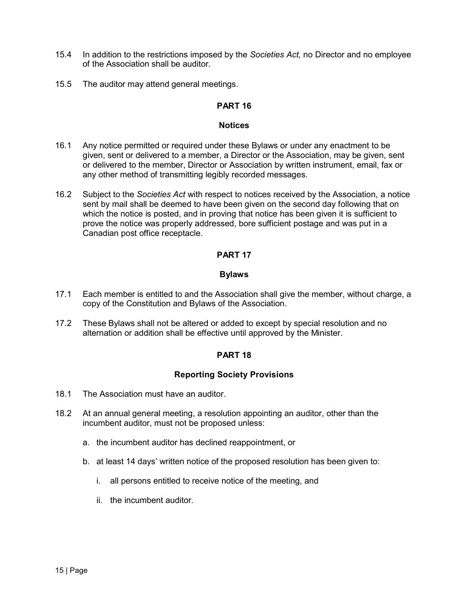- 15.4 In addition to the restrictions imposed by the Societies Act, no Director and no employee of the Association shall be auditor.
- 15.5 The auditor may attend general meetings.

## Notices

- 16.1 Any notice permitted or required under these Bylaws or under any enactment to be given, sent or delivered to a member, a Director or the Association, may be given, sent or delivered to the member, Director or Association by written instrument, email, fax or any other method of transmitting legibly recorded messages.
- 16.2 Subject to the Societies Act with respect to notices received by the Association, a notice sent by mail shall be deemed to have been given on the second day following that on which the notice is posted, and in proving that notice has been given it is sufficient to prove the notice was properly addressed, bore sufficient postage and was put in a Canadian post office receptacle.

# PART 17

## Bylaws

- 17.1 Each member is entitled to and the Association shall give the member, without charge, a copy of the Constitution and Bylaws of the Association.
- 17.2 These Bylaws shall not be altered or added to except by special resolution and no alternation or addition shall be effective until approved by the Minister.

# PART 18

# Reporting Society Provisions

- 18.1 The Association must have an auditor.
- 18.2 At an annual general meeting, a resolution appointing an auditor, other than the incumbent auditor, must not be proposed unless:
	- a. the incumbent auditor has declined reappointment, or
	- b. at least 14 days' written notice of the proposed resolution has been given to:
		- i. all persons entitled to receive notice of the meeting, and
		- ii. the incumbent auditor.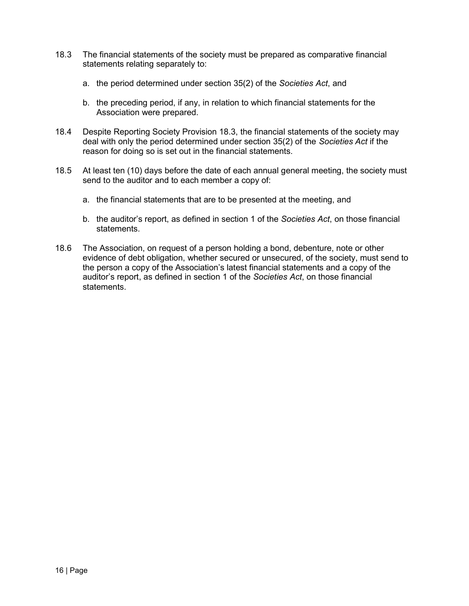- 18.3 The financial statements of the society must be prepared as comparative financial statements relating separately to:
	- a. the period determined under section 35(2) of the Societies Act, and
	- b. the preceding period, if any, in relation to which financial statements for the Association were prepared.
- 18.4 Despite Reporting Society Provision 18.3, the financial statements of the society may deal with only the period determined under section 35(2) of the Societies Act if the reason for doing so is set out in the financial statements.
- 18.5 At least ten (10) days before the date of each annual general meeting, the society must send to the auditor and to each member a copy of:
	- a. the financial statements that are to be presented at the meeting, and
	- b. the auditor's report, as defined in section 1 of the Societies Act, on those financial statements.
- 18.6 The Association, on request of a person holding a bond, debenture, note or other evidence of debt obligation, whether secured or unsecured, of the society, must send to the person a copy of the Association's latest financial statements and a copy of the auditor's report, as defined in section 1 of the Societies Act, on those financial statements.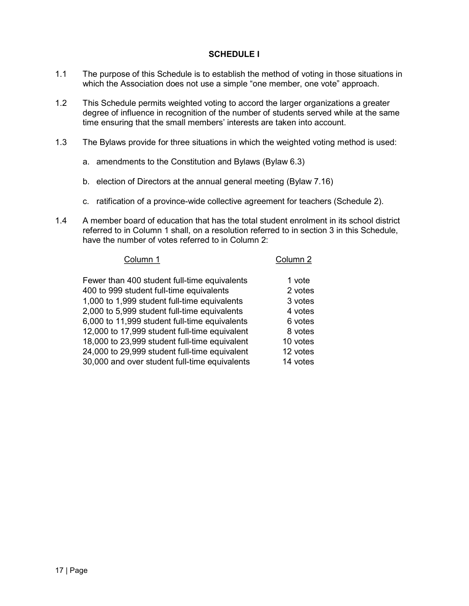# SCHEDULE I

- 1.1 The purpose of this Schedule is to establish the method of voting in those situations in which the Association does not use a simple "one member, one vote" approach.
- 1.2 This Schedule permits weighted voting to accord the larger organizations a greater degree of influence in recognition of the number of students served while at the same time ensuring that the small members' interests are taken into account.
- 1.3 The Bylaws provide for three situations in which the weighted voting method is used:
	- a. amendments to the Constitution and Bylaws (Bylaw 6.3)
	- b. election of Directors at the annual general meeting (Bylaw 7.16)
	- c. ratification of a province-wide collective agreement for teachers (Schedule 2).
- 1.4 A member board of education that has the total student enrolment in its school district referred to in Column 1 shall, on a resolution referred to in section 3 in this Schedule, have the number of votes referred to in Column 2:

| Column 1                                      | Column 2 |
|-----------------------------------------------|----------|
| Fewer than 400 student full-time equivalents  | 1 vote   |
| 400 to 999 student full-time equivalents      | 2 votes  |
| 1,000 to 1,999 student full-time equivalents  | 3 votes  |
| 2,000 to 5,999 student full-time equivalents  | 4 votes  |
| 6,000 to 11,999 student full-time equivalents | 6 votes  |
| 12,000 to 17,999 student full-time equivalent | 8 votes  |
| 18,000 to 23,999 student full-time equivalent | 10 votes |
| 24,000 to 29,999 student full-time equivalent | 12 votes |
| 30,000 and over student full-time equivalents | 14 votes |
|                                               |          |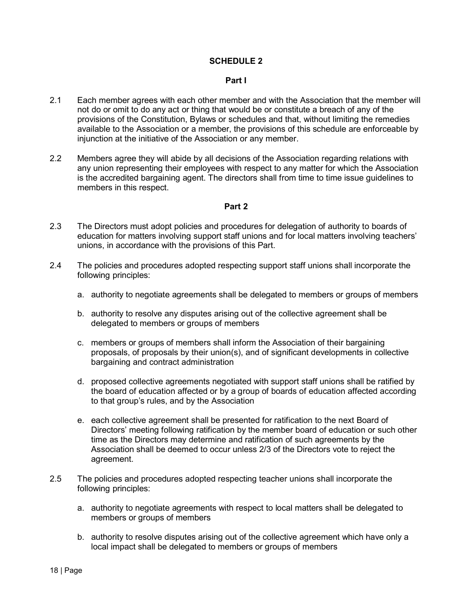## SCHEDULE 2

#### Part I

- 2.1 Each member agrees with each other member and with the Association that the member will not do or omit to do any act or thing that would be or constitute a breach of any of the provisions of the Constitution, Bylaws or schedules and that, without limiting the remedies available to the Association or a member, the provisions of this schedule are enforceable by injunction at the initiative of the Association or any member.
- 2.2 Members agree they will abide by all decisions of the Association regarding relations with any union representing their employees with respect to any matter for which the Association is the accredited bargaining agent. The directors shall from time to time issue guidelines to members in this respect.

#### Part 2

- 2.3 The Directors must adopt policies and procedures for delegation of authority to boards of education for matters involving support staff unions and for local matters involving teachers' unions, in accordance with the provisions of this Part.
- 2.4 The policies and procedures adopted respecting support staff unions shall incorporate the following principles:
	- a. authority to negotiate agreements shall be delegated to members or groups of members
	- b. authority to resolve any disputes arising out of the collective agreement shall be delegated to members or groups of members
	- c. members or groups of members shall inform the Association of their bargaining proposals, of proposals by their union(s), and of significant developments in collective bargaining and contract administration
	- d. proposed collective agreements negotiated with support staff unions shall be ratified by the board of education affected or by a group of boards of education affected according to that group's rules, and by the Association
	- e. each collective agreement shall be presented for ratification to the next Board of Directors' meeting following ratification by the member board of education or such other time as the Directors may determine and ratification of such agreements by the Association shall be deemed to occur unless 2/3 of the Directors vote to reject the agreement.
- 2.5 The policies and procedures adopted respecting teacher unions shall incorporate the following principles:
	- a. authority to negotiate agreements with respect to local matters shall be delegated to members or groups of members
	- b. authority to resolve disputes arising out of the collective agreement which have only a local impact shall be delegated to members or groups of members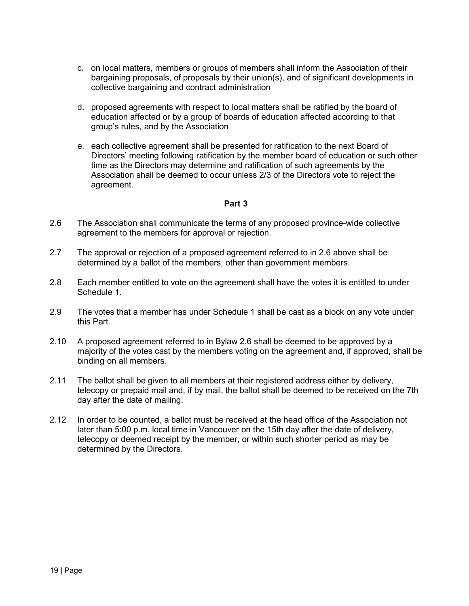- c. on local matters, members or groups of members shall inform the Association of their bargaining proposals, of proposals by their union(s), and of significant developments in collective bargaining and contract administration
- d. proposed agreements with respect to local matters shall be ratified by the board of education affected or by a group of boards of education affected according to that group's rules, and by the Association
- e. each collective agreement shall be presented for ratification to the next Board of Directors' meeting following ratification by the member board of education or such other time as the Directors may determine and ratification of such agreements by the Association shall be deemed to occur unless 2/3 of the Directors vote to reject the agreement.

## Part 3

- 2.6 The Association shall communicate the terms of any proposed province-wide collective agreement to the members for approval or rejection.
- 2.7 The approval or rejection of a proposed agreement referred to in 2.6 above shall be determined by a ballot of the members, other than government members.
- 2.8 Each member entitled to vote on the agreement shall have the votes it is entitled to under Schedule 1.
- 2.9 The votes that a member has under Schedule 1 shall be cast as a block on any vote under this Part.
- 2.10 A proposed agreement referred to in Bylaw 2.6 shall be deemed to be approved by a majority of the votes cast by the members voting on the agreement and, if approved, shall be binding on all members.
- 2.11 The ballot shall be given to all members at their registered address either by delivery, telecopy or prepaid mail and, if by mail, the ballot shall be deemed to be received on the 7th day after the date of mailing.
- 2.12 In order to be counted, a ballot must be received at the head office of the Association not later than 5:00 p.m. local time in Vancouver on the 15th day after the date of delivery, telecopy or deemed receipt by the member, or within such shorter period as may be determined by the Directors.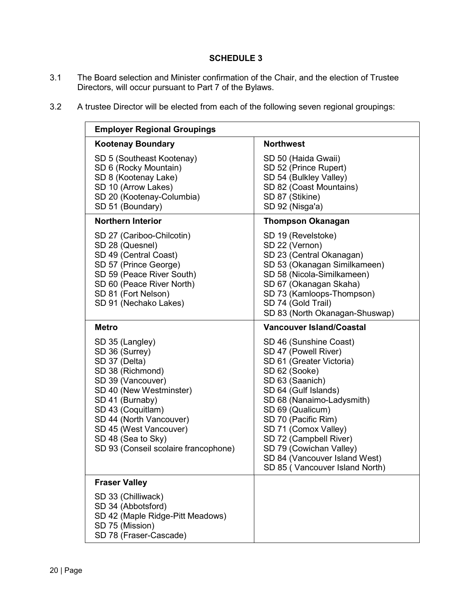# SCHEDULE 3

- 3.1 The Board selection and Minister confirmation of the Chair, and the election of Trustee Directors, will occur pursuant to Part 7 of the Bylaws.
- 3.2 A trustee Director will be elected from each of the following seven regional groupings:

| <b>Employer Regional Groupings</b>                                                                                                                                                                                                                                                |                                                                                                                                                                                                                                                                                                                                                                |  |  |
|-----------------------------------------------------------------------------------------------------------------------------------------------------------------------------------------------------------------------------------------------------------------------------------|----------------------------------------------------------------------------------------------------------------------------------------------------------------------------------------------------------------------------------------------------------------------------------------------------------------------------------------------------------------|--|--|
| <b>Kootenay Boundary</b>                                                                                                                                                                                                                                                          | <b>Northwest</b>                                                                                                                                                                                                                                                                                                                                               |  |  |
| SD 5 (Southeast Kootenay)<br>SD 6 (Rocky Mountain)<br>SD 8 (Kootenay Lake)<br>SD 10 (Arrow Lakes)<br>SD 20 (Kootenay-Columbia)<br>SD 51 (Boundary)                                                                                                                                | SD 50 (Haida Gwaii)<br>SD 52 (Prince Rupert)<br>SD 54 (Bulkley Valley)<br>SD 82 (Coast Mountains)<br>SD 87 (Stikine)<br>SD 92 (Nisga'a)                                                                                                                                                                                                                        |  |  |
| <b>Northern Interior</b>                                                                                                                                                                                                                                                          | <b>Thompson Okanagan</b>                                                                                                                                                                                                                                                                                                                                       |  |  |
| SD 27 (Cariboo-Chilcotin)<br>SD 28 (Quesnel)<br>SD 49 (Central Coast)<br>SD 57 (Prince George)<br>SD 59 (Peace River South)<br>SD 60 (Peace River North)<br>SD 81 (Fort Nelson)<br>SD 91 (Nechako Lakes)                                                                          | SD 19 (Revelstoke)<br>SD 22 (Vernon)<br>SD 23 (Central Okanagan)<br>SD 53 (Okanagan Similkameen)<br>SD 58 (Nicola-Similkameen)<br>SD 67 (Okanagan Skaha)<br>SD 73 (Kamloops-Thompson)<br>SD 74 (Gold Trail)<br>SD 83 (North Okanagan-Shuswap)                                                                                                                  |  |  |
| <b>Metro</b>                                                                                                                                                                                                                                                                      | <b>Vancouver Island/Coastal</b>                                                                                                                                                                                                                                                                                                                                |  |  |
| SD 35 (Langley)<br>SD 36 (Surrey)<br>SD 37 (Delta)<br>SD 38 (Richmond)<br>SD 39 (Vancouver)<br>SD 40 (New Westminster)<br>SD 41 (Burnaby)<br>SD 43 (Coquitlam)<br>SD 44 (North Vancouver)<br>SD 45 (West Vancouver)<br>SD 48 (Sea to Sky)<br>SD 93 (Conseil scolaire francophone) | SD 46 (Sunshine Coast)<br>SD 47 (Powell River)<br>SD 61 (Greater Victoria)<br>SD 62 (Sooke)<br>SD 63 (Saanich)<br>SD 64 (Gulf Islands)<br>SD 68 (Nanaimo-Ladysmith)<br>SD 69 (Qualicum)<br>SD 70 (Pacific Rim)<br>SD 71 (Comox Valley)<br>SD 72 (Campbell River)<br>SD 79 (Cowichan Valley)<br>SD 84 (Vancouver Island West)<br>SD 85 (Vancouver Island North) |  |  |
| <b>Fraser Valley</b>                                                                                                                                                                                                                                                              |                                                                                                                                                                                                                                                                                                                                                                |  |  |
| SD 33 (Chilliwack)<br>SD 34 (Abbotsford)<br>SD 42 (Maple Ridge-Pitt Meadows)<br>SD 75 (Mission)<br>SD 78 (Fraser-Cascade)                                                                                                                                                         |                                                                                                                                                                                                                                                                                                                                                                |  |  |